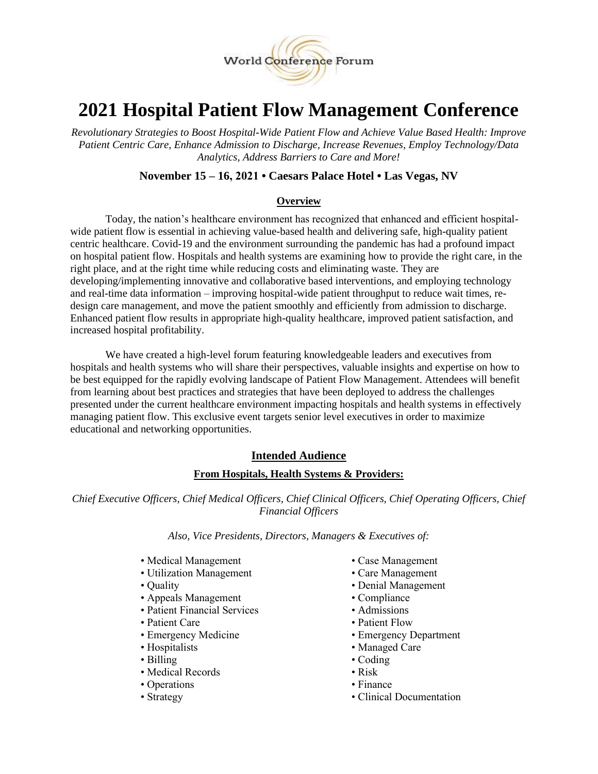

# **2021 Hospital Patient Flow Management Conference**

*Revolutionary Strategies to Boost Hospital-Wide Patient Flow and Achieve Value Based Health: Improve Patient Centric Care, Enhance Admission to Discharge, Increase Revenues, Employ Technology/Data Analytics, Address Barriers to Care and More!*

# **November 15 – 16, 2021 • Caesars Palace Hotel • Las Vegas, NV**

# **Overview**

Today, the nation's healthcare environment has recognized that enhanced and efficient hospitalwide patient flow is essential in achieving value-based health and delivering safe, high-quality patient centric healthcare. Covid-19 and the environment surrounding the pandemic has had a profound impact on hospital patient flow. Hospitals and health systems are examining how to provide the right care, in the right place, and at the right time while reducing costs and eliminating waste. They are developing/implementing innovative and collaborative based interventions, and employing technology and real-time data information – improving hospital-wide patient throughput to reduce wait times, redesign care management, and move the patient smoothly and efficiently from admission to discharge. Enhanced patient flow results in appropriate high-quality healthcare, improved patient satisfaction, and increased hospital profitability.

We have created a high-level forum featuring knowledgeable leaders and executives from hospitals and health systems who will share their perspectives, valuable insights and expertise on how to be best equipped for the rapidly evolving landscape of Patient Flow Management. Attendees will benefit from learning about best practices and strategies that have been deployed to address the challenges presented under the current healthcare environment impacting hospitals and health systems in effectively managing patient flow. This exclusive event targets senior level executives in order to maximize educational and networking opportunities.

# **Intended Audience**

# **From Hospitals, Health Systems & Providers:**

*Chief Executive Officers, Chief Medical Officers, Chief Clinical Officers, Chief Operating Officers, Chief Financial Officers*

#### *Also, Vice Presidents, Directors, Managers & Executives of:*

- Medical Management Case Management
- Utilization Management Care Management
- 
- Appeals Management Compliance
- Patient Financial Services Admissions
- 
- 
- 
- 
- Medical Records Risk
- Operations Finance
- 
- 
- 
- Quality Denial Management
	-
	-
- Patient Care Patient Flow
- Emergency Medicine Emergency Department
- Hospitalists Managed Care
- Billing Coding
	-
	-
- Strategy Clinical Documentation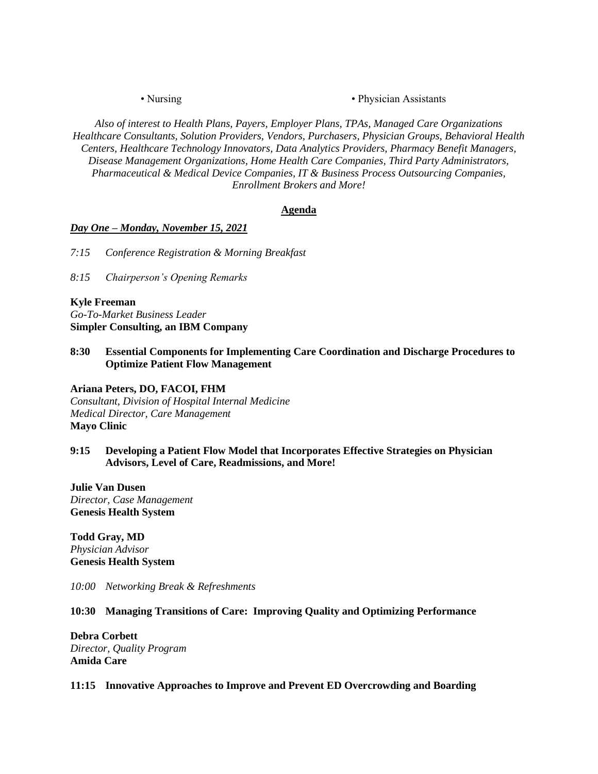• Nursing • Physician Assistants

*Also of interest to Health Plans, Payers, Employer Plans, TPAs, Managed Care Organizations Healthcare Consultants, Solution Providers, Vendors, Purchasers, Physician Groups, Behavioral Health Centers, Healthcare Technology Innovators, Data Analytics Providers, Pharmacy Benefit Managers, Disease Management Organizations, Home Health Care Companies, Third Party Administrators, Pharmaceutical & Medical Device Companies, IT & Business Process Outsourcing Companies, Enrollment Brokers and More!*

# **Agenda**

#### *Day One – Monday, November 15, 2021*

*7:15 Conference Registration & Morning Breakfast*

*8:15 Chairperson's Opening Remarks*

#### **Kyle Freeman**

*Go-To-Market Business Leader* **Simpler Consulting, an IBM Company**

**8:30 Essential Components for Implementing Care Coordination and Discharge Procedures to Optimize Patient Flow Management**

**Ariana Peters, DO, FACOI, FHM** *Consultant, Division of Hospital Internal Medicine Medical Director, Care Management* **Mayo Clinic**

# **9:15 Developing a Patient Flow Model that Incorporates Effective Strategies on Physician Advisors, Level of Care, Readmissions, and More!**

**Julie Van Dusen** *Director, Case Management* **Genesis Health System**

**Todd Gray, MD** *Physician Advisor* **Genesis Health System**

*10:00 Networking Break & Refreshments* 

#### **10:30 Managing Transitions of Care: Improving Quality and Optimizing Performance**

**Debra Corbett** *Director, Quality Program* **Amida Care**

#### **11:15 Innovative Approaches to Improve and Prevent ED Overcrowding and Boarding**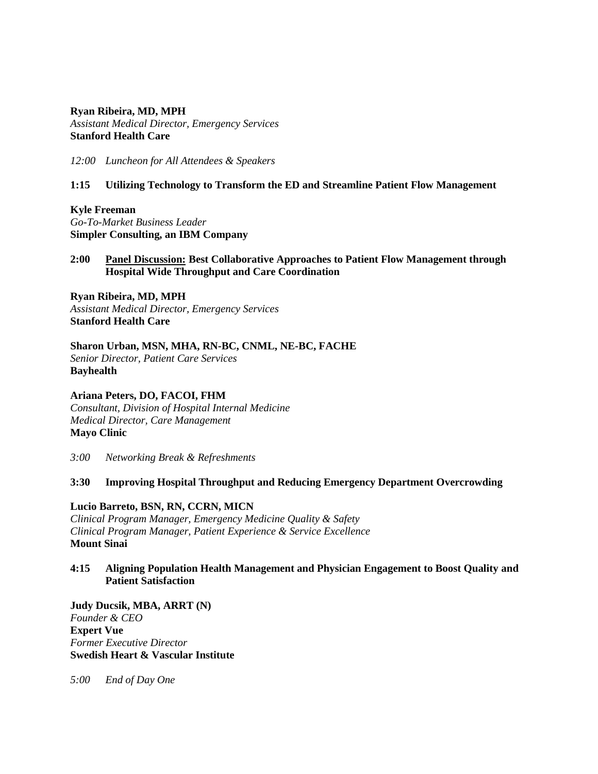#### **Ryan Ribeira, MD, MPH**

*Assistant Medical Director, Emergency Services* **Stanford Health Care**

*12:00 Luncheon for All Attendees & Speakers*

# **1:15 Utilizing Technology to Transform the ED and Streamline Patient Flow Management**

**Kyle Freeman** *Go-To-Market Business Leader* **Simpler Consulting, an IBM Company**

# **2:00 Panel Discussion: Best Collaborative Approaches to Patient Flow Management through Hospital Wide Throughput and Care Coordination**

**Ryan Ribeira, MD, MPH** *Assistant Medical Director, Emergency Services* **Stanford Health Care**

**Sharon Urban, MSN, MHA, RN-BC, CNML, NE-BC, FACHE** *Senior Director, Patient Care Services* **Bayhealth**

**Ariana Peters, DO, FACOI, FHM** *Consultant, Division of Hospital Internal Medicine Medical Director, Care Management* **Mayo Clinic**

*3:00 Networking Break & Refreshments*

#### **3:30 Improving Hospital Throughput and Reducing Emergency Department Overcrowding**

#### **Lucio Barreto, BSN, RN, CCRN, MICN**

*Clinical Program Manager, Emergency Medicine Quality & Safety Clinical Program Manager, Patient Experience & Service Excellence* **Mount Sinai**

# **4:15 Aligning Population Health Management and Physician Engagement to Boost Quality and Patient Satisfaction**

**Judy Ducsik, MBA, ARRT (N)** *Founder & CEO* **Expert Vue** *Former Executive Director* **Swedish Heart & Vascular Institute**

*5:00 End of Day One*